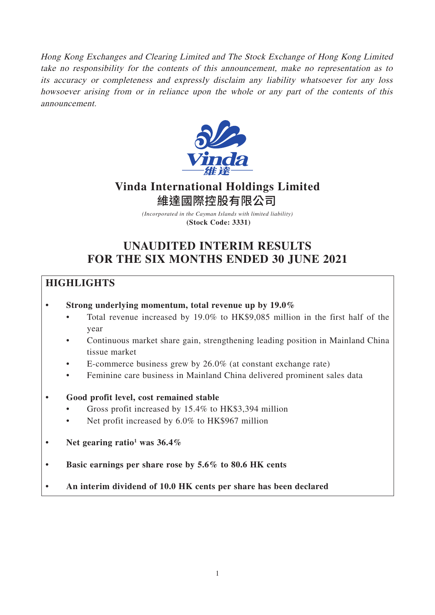Hong Kong Exchanges and Clearing Limited and The Stock Exchange of Hong Kong Limited take no responsibility for the contents of this announcement, make no representation as to its accuracy or completeness and expressly disclaim any liability whatsoever for any loss howsoever arising from or in reliance upon the whole or any part of the contents of this announcement.



# **Vinda International Holdings Limited** 維達國際控股有限公司

*(Incorporated in the Cayman Islands with limited liability)* **(Stock Code: 3331)**

# **UNAUDITED INTERIM RESULTS FOR THE SIX MONTHS ENDED 30 JUNE 2021**

# **HIGHLIGHTS**

# **• Strong underlying momentum, total revenue up by 19.0%**

- Total revenue increased by 19.0% to HK\$9,085 million in the first half of the year
- Continuous market share gain, strengthening leading position in Mainland China tissue market
- E-commerce business grew by 26.0% (at constant exchange rate)
- Feminine care business in Mainland China delivered prominent sales data

# **• Good profit level, cost remained stable**

- Gross profit increased by 15.4% to HK\$3,394 million
- Net profit increased by 6.0% to HK\$967 million
- Net gearing ratio<sup>1</sup> was 36.4%
- **Basic earnings per share rose by 5.6% to 80.6 HK cents**
- **An interim dividend of 10.0 HK cents per share has been declared**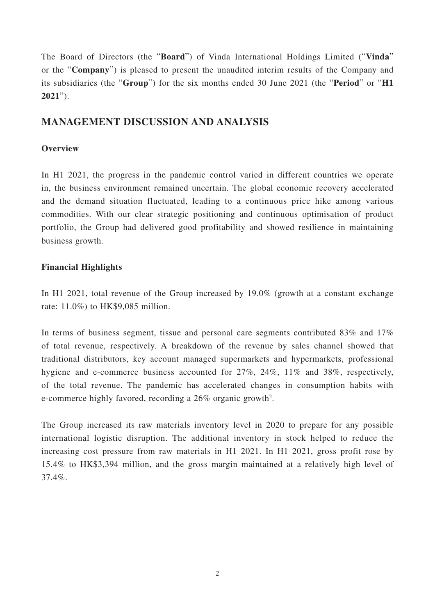The Board of Directors (the "**Board**") of Vinda International Holdings Limited ("**Vinda**" or the "**Company**") is pleased to present the unaudited interim results of the Company and its subsidiaries (the "**Group**") for the six months ended 30 June 2021 (the "**Period**" or "**H1 2021**").

# **MANAGEMENT DISCUSSION AND ANALYSIS**

# **Overview**

In H1 2021, the progress in the pandemic control varied in different countries we operate in, the business environment remained uncertain. The global economic recovery accelerated and the demand situation fluctuated, leading to a continuous price hike among various commodities. With our clear strategic positioning and continuous optimisation of product portfolio, the Group had delivered good profitability and showed resilience in maintaining business growth.

# **Financial Highlights**

In H1 2021, total revenue of the Group increased by 19.0% (growth at a constant exchange rate: 11.0%) to HK\$9,085 million.

In terms of business segment, tissue and personal care segments contributed 83% and 17% of total revenue, respectively. A breakdown of the revenue by sales channel showed that traditional distributors, key account managed supermarkets and hypermarkets, professional hygiene and e-commerce business accounted for 27%, 24%, 11% and 38%, respectively, of the total revenue. The pandemic has accelerated changes in consumption habits with e-commerce highly favored, recording a 26% organic growth<sup>2</sup>.

The Group increased its raw materials inventory level in 2020 to prepare for any possible international logistic disruption. The additional inventory in stock helped to reduce the increasing cost pressure from raw materials in H1 2021. In H1 2021, gross profit rose by 15.4% to HK\$3,394 million, and the gross margin maintained at a relatively high level of 37.4%.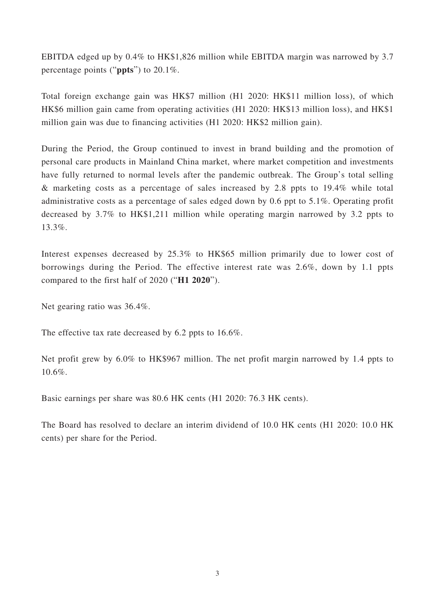EBITDA edged up by 0.4% to HK\$1,826 million while EBITDA margin was narrowed by 3.7 percentage points ("**ppts**") to 20.1%.

Total foreign exchange gain was HK\$7 million (H1 2020: HK\$11 million loss), of which HK\$6 million gain came from operating activities (H1 2020: HK\$13 million loss), and HK\$1 million gain was due to financing activities (H1 2020: HK\$2 million gain).

During the Period, the Group continued to invest in brand building and the promotion of personal care products in Mainland China market, where market competition and investments have fully returned to normal levels after the pandemic outbreak. The Group's total selling & marketing costs as a percentage of sales increased by 2.8 ppts to 19.4% while total administrative costs as a percentage of sales edged down by 0.6 ppt to 5.1%. Operating profit decreased by 3.7% to HK\$1,211 million while operating margin narrowed by 3.2 ppts to 13.3%.

Interest expenses decreased by 25.3% to HK\$65 million primarily due to lower cost of borrowings during the Period. The effective interest rate was 2.6%, down by 1.1 ppts compared to the first half of 2020 ("**H1 2020**").

Net gearing ratio was 36.4%.

The effective tax rate decreased by 6.2 ppts to 16.6%.

Net profit grew by 6.0% to HK\$967 million. The net profit margin narrowed by 1.4 ppts to 10.6%.

Basic earnings per share was 80.6 HK cents (H1 2020: 76.3 HK cents).

The Board has resolved to declare an interim dividend of 10.0 HK cents (H1 2020: 10.0 HK cents) per share for the Period.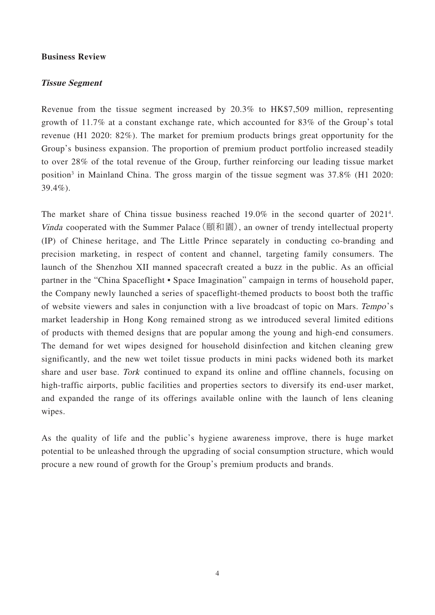### **Business Review**

### **Tissue Segment**

Revenue from the tissue segment increased by 20.3% to HK\$7,509 million, representing growth of 11.7% at a constant exchange rate, which accounted for 83% of the Group's total revenue (H1 2020: 82%). The market for premium products brings great opportunity for the Group's business expansion. The proportion of premium product portfolio increased steadily to over 28% of the total revenue of the Group, further reinforcing our leading tissue market position<sup>3</sup> in Mainland China. The gross margin of the tissue segment was 37.8% (H1 2020: 39.4%).

The market share of China tissue business reached 19.0% in the second quarter of 2021<sup>4</sup>. Vinda cooperated with the Summer Palace (頤和園), an owner of trendy intellectual property (IP) of Chinese heritage, and The Little Prince separately in conducting co-branding and precision marketing, in respect of content and channel, targeting family consumers. The launch of the Shenzhou XII manned spacecraft created a buzz in the public. As an official partner in the "China Spaceflight • Space Imagination" campaign in terms of household paper, the Company newly launched a series of spaceflight-themed products to boost both the traffic of website viewers and sales in conjunction with a live broadcast of topic on Mars. Tempo's market leadership in Hong Kong remained strong as we introduced several limited editions of products with themed designs that are popular among the young and high-end consumers. The demand for wet wipes designed for household disinfection and kitchen cleaning grew significantly, and the new wet toilet tissue products in mini packs widened both its market share and user base. Tork continued to expand its online and offline channels, focusing on high-traffic airports, public facilities and properties sectors to diversify its end-user market, and expanded the range of its offerings available online with the launch of lens cleaning wipes.

As the quality of life and the public's hygiene awareness improve, there is huge market potential to be unleashed through the upgrading of social consumption structure, which would procure a new round of growth for the Group's premium products and brands.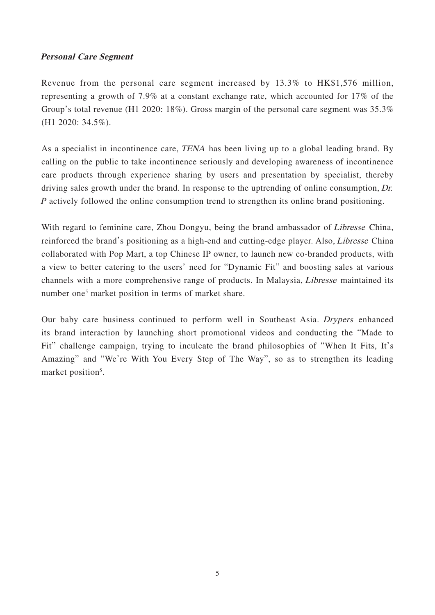# **Personal Care Segment**

Revenue from the personal care segment increased by 13.3% to HK\$1,576 million, representing a growth of 7.9% at a constant exchange rate, which accounted for 17% of the Group's total revenue (H1 2020: 18%). Gross margin of the personal care segment was 35.3% (H1 2020: 34.5%).

As a specialist in incontinence care, TENA has been living up to a global leading brand. By calling on the public to take incontinence seriously and developing awareness of incontinence care products through experience sharing by users and presentation by specialist, thereby driving sales growth under the brand. In response to the uptrending of online consumption, Dr. P actively followed the online consumption trend to strengthen its online brand positioning.

With regard to feminine care, Zhou Dongyu, being the brand ambassador of *Libresse* China, reinforced the brand's positioning as a high-end and cutting-edge player. Also, Libresse China collaborated with Pop Mart, a top Chinese IP owner, to launch new co-branded products, with a view to better catering to the users' need for "Dynamic Fit" and boosting sales at various channels with a more comprehensive range of products. In Malaysia, Libresse maintained its number one<sup>5</sup> market position in terms of market share.

Our baby care business continued to perform well in Southeast Asia. Drypers enhanced its brand interaction by launching short promotional videos and conducting the "Made to Fit" challenge campaign, trying to inculcate the brand philosophies of "When It Fits, It's Amazing" and "We're With You Every Step of The Way", so as to strengthen its leading market position<sup>5</sup>.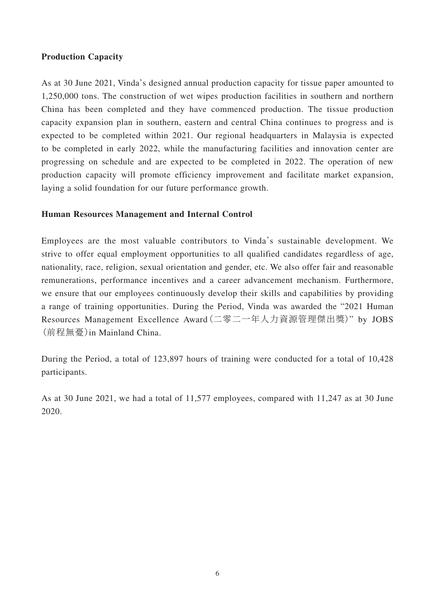# **Production Capacity**

As at 30 June 2021, Vinda's designed annual production capacity for tissue paper amounted to 1,250,000 tons. The construction of wet wipes production facilities in southern and northern China has been completed and they have commenced production. The tissue production capacity expansion plan in southern, eastern and central China continues to progress and is expected to be completed within 2021. Our regional headquarters in Malaysia is expected to be completed in early 2022, while the manufacturing facilities and innovation center are progressing on schedule and are expected to be completed in 2022. The operation of new production capacity will promote efficiency improvement and facilitate market expansion, laying a solid foundation for our future performance growth.

# **Human Resources Management and Internal Control**

Employees are the most valuable contributors to Vinda's sustainable development. We strive to offer equal employment opportunities to all qualified candidates regardless of age, nationality, race, religion, sexual orientation and gender, etc. We also offer fair and reasonable remunerations, performance incentives and a career advancement mechanism. Furthermore, we ensure that our employees continuously develop their skills and capabilities by providing a range of training opportunities. During the Period, Vinda was awarded the "2021 Human Resources Management Excellence Award(二零二一年人力資源管理傑出獎)" by JOBS (前程無憂)in Mainland China.

During the Period, a total of 123,897 hours of training were conducted for a total of 10,428 participants.

As at 30 June 2021, we had a total of 11,577 employees, compared with 11,247 as at 30 June 2020.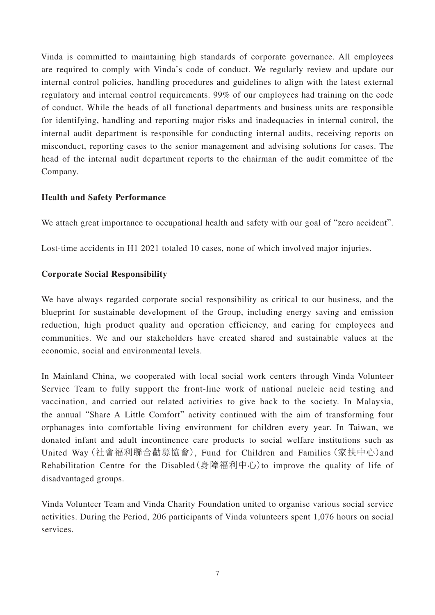Vinda is committed to maintaining high standards of corporate governance. All employees are required to comply with Vinda's code of conduct. We regularly review and update our internal control policies, handling procedures and guidelines to align with the latest external regulatory and internal control requirements. 99% of our employees had training on the code of conduct. While the heads of all functional departments and business units are responsible for identifying, handling and reporting major risks and inadequacies in internal control, the internal audit department is responsible for conducting internal audits, receiving reports on misconduct, reporting cases to the senior management and advising solutions for cases. The head of the internal audit department reports to the chairman of the audit committee of the Company.

# **Health and Safety Performance**

We attach great importance to occupational health and safety with our goal of "zero accident".

Lost-time accidents in H1 2021 totaled 10 cases, none of which involved major injuries.

# **Corporate Social Responsibility**

We have always regarded corporate social responsibility as critical to our business, and the blueprint for sustainable development of the Group, including energy saving and emission reduction, high product quality and operation efficiency, and caring for employees and communities. We and our stakeholders have created shared and sustainable values at the economic, social and environmental levels.

In Mainland China, we cooperated with local social work centers through Vinda Volunteer Service Team to fully support the front-line work of national nucleic acid testing and vaccination, and carried out related activities to give back to the society. In Malaysia, the annual "Share A Little Comfort" activity continued with the aim of transforming four orphanages into comfortable living environment for children every year. In Taiwan, we donated infant and adult incontinence care products to social welfare institutions such as United Way(社會福利聯合勸募協會), Fund for Children and Families(家扶中心)and Rehabilitation Centre for the Disabled  $(\frac{1}{2})^2$   $\oplus$   $\oplus$   $\oplus$   $\oplus$   $\oplus$  prove the quality of life of disadvantaged groups.

Vinda Volunteer Team and Vinda Charity Foundation united to organise various social service activities. During the Period, 206 participants of Vinda volunteers spent 1,076 hours on social services.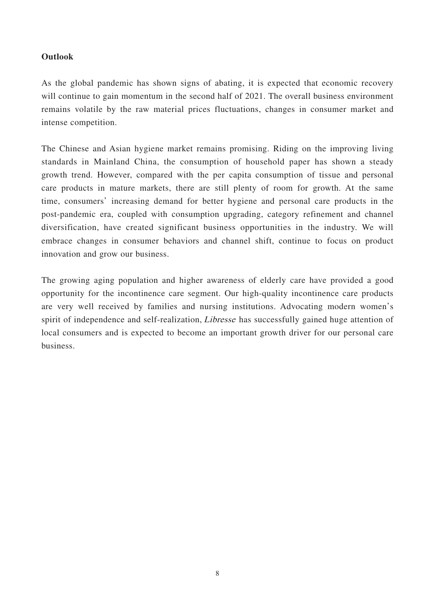# **Outlook**

As the global pandemic has shown signs of abating, it is expected that economic recovery will continue to gain momentum in the second half of 2021. The overall business environment remains volatile by the raw material prices fluctuations, changes in consumer market and intense competition.

The Chinese and Asian hygiene market remains promising. Riding on the improving living standards in Mainland China, the consumption of household paper has shown a steady growth trend. However, compared with the per capita consumption of tissue and personal care products in mature markets, there are still plenty of room for growth. At the same time, consumers' increasing demand for better hygiene and personal care products in the post-pandemic era, coupled with consumption upgrading, category refinement and channel diversification, have created significant business opportunities in the industry. We will embrace changes in consumer behaviors and channel shift, continue to focus on product innovation and grow our business.

The growing aging population and higher awareness of elderly care have provided a good opportunity for the incontinence care segment. Our high-quality incontinence care products are very well received by families and nursing institutions. Advocating modern women's spirit of independence and self-realization, Libresse has successfully gained huge attention of local consumers and is expected to become an important growth driver for our personal care business.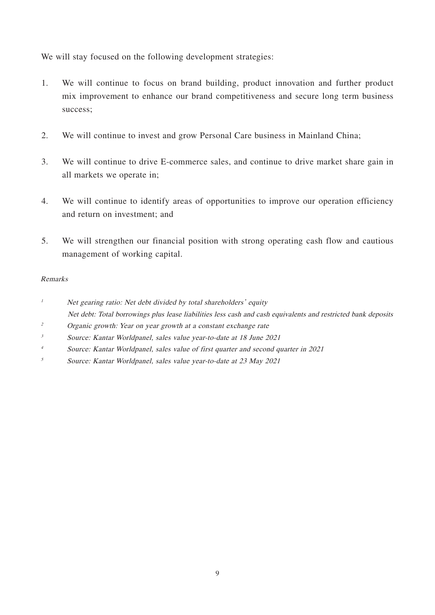We will stay focused on the following development strategies:

- 1. We will continue to focus on brand building, product innovation and further product mix improvement to enhance our brand competitiveness and secure long term business success;
- 2. We will continue to invest and grow Personal Care business in Mainland China;
- 3. We will continue to drive E-commerce sales, and continue to drive market share gain in all markets we operate in;
- 4. We will continue to identify areas of opportunities to improve our operation efficiency and return on investment; and
- 5. We will strengthen our financial position with strong operating cash flow and cautious management of working capital.

# Remarks

- <sup>1</sup> Net gearing ratio: Net debt divided by total shareholders' equity Net debt: Total borrowings plus lease liabilities less cash and cash equivalents and restricted bank deposits
- <sup>2</sup> Organic growth: Year on year growth at a constant exchange rate
- $3$  Source: Kantar Worldpanel, sales value year-to-date at 18 June 2021
- <sup>4</sup> Source: Kantar Worldpanel, sales value of first quarter and second quarter in 2021
- 5 Source: Kantar Worldpanel, sales value year-to-date at 23 May 2021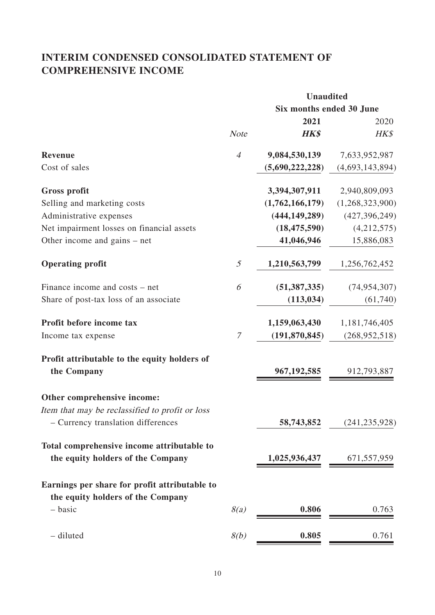# **INTERIM CONDENSED CONSOLIDATED STATEMENT OF COMPREHENSIVE INCOME**

|                                                 | <b>Unaudited</b> |                 |                          |  |
|-------------------------------------------------|------------------|-----------------|--------------------------|--|
|                                                 |                  |                 | Six months ended 30 June |  |
|                                                 |                  | 2021            | 2020                     |  |
|                                                 | <b>Note</b>      | <b>HK\$</b>     | HK\$                     |  |
| <b>Revenue</b>                                  | $\overline{4}$   | 9,084,530,139   | 7,633,952,987            |  |
| Cost of sales                                   |                  | (5,690,222,228) | (4,693,143,894)          |  |
| Gross profit                                    |                  | 3,394,307,911   | 2,940,809,093            |  |
| Selling and marketing costs                     |                  | (1,762,166,179) | (1,268,323,900)          |  |
| Administrative expenses                         |                  | (444, 149, 289) | (427, 396, 249)          |  |
| Net impairment losses on financial assets       |                  | (18, 475, 590)  | (4,212,575)              |  |
| Other income and gains – net                    |                  | 41,046,946      | 15,886,083               |  |
| <b>Operating profit</b>                         | $\mathfrak{I}$   | 1,210,563,799   | 1,256,762,452            |  |
| Finance income and costs – net                  | 6                | (51, 387, 335)  | (74, 954, 307)           |  |
| Share of post-tax loss of an associate          |                  | (113, 034)      | (61, 740)                |  |
| Profit before income tax                        |                  | 1,159,063,430   | 1,181,746,405            |  |
| Income tax expense                              | $\mathcal T$     | (191, 870, 845) | (268, 952, 518)          |  |
| Profit attributable to the equity holders of    |                  |                 |                          |  |
| the Company                                     |                  | 967, 192, 585   | 912,793,887              |  |
| Other comprehensive income:                     |                  |                 |                          |  |
| Item that may be reclassified to profit or loss |                  |                 |                          |  |
| - Currency translation differences              |                  | 58,743,852      | (241, 235, 928)          |  |
| Total comprehensive income attributable to      |                  |                 |                          |  |
| the equity holders of the Company               |                  | 1,025,936,437   | 671, 557, 959            |  |
| Earnings per share for profit attributable to   |                  |                 |                          |  |
| the equity holders of the Company               |                  |                 |                          |  |
| - basic                                         | 8(a)             | 0.806           | 0.763                    |  |
| - diluted                                       | 8(b)             | 0.805           | 0.761                    |  |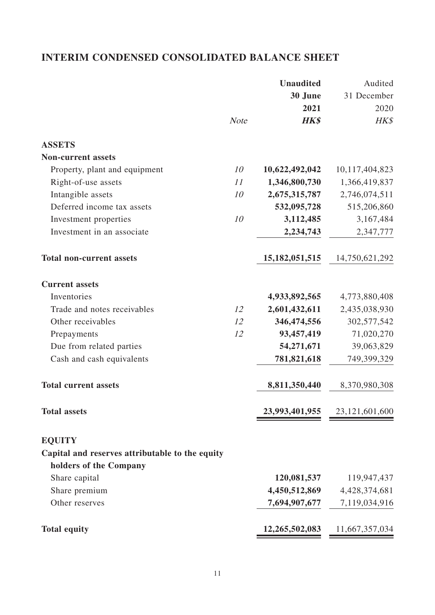# **INTERIM CONDENSED CONSOLIDATED BALANCE SHEET**

|                                                 |             | <b>Unaudited</b>  | Audited        |
|-------------------------------------------------|-------------|-------------------|----------------|
|                                                 |             | 30 June           | 31 December    |
|                                                 |             | 2021              | 2020           |
|                                                 | <b>Note</b> | <b>HK\$</b>       | HK\$           |
| <b>ASSETS</b>                                   |             |                   |                |
| <b>Non-current assets</b>                       |             |                   |                |
| Property, plant and equipment                   | 10          | 10,622,492,042    | 10,117,404,823 |
| Right-of-use assets                             | 11          | 1,346,800,730     | 1,366,419,837  |
| Intangible assets                               | 10          | 2,675,315,787     | 2,746,074,511  |
| Deferred income tax assets                      |             | 532,095,728       | 515,206,860    |
| Investment properties                           | 10          | 3,112,485         | 3,167,484      |
| Investment in an associate                      |             | 2,234,743         | 2,347,777      |
| <b>Total non-current assets</b>                 |             | 15, 182, 051, 515 | 14,750,621,292 |
| <b>Current assets</b>                           |             |                   |                |
| Inventories                                     |             | 4,933,892,565     | 4,773,880,408  |
| Trade and notes receivables                     | 12          | 2,601,432,611     | 2,435,038,930  |
| Other receivables                               | 12          | 346,474,556       | 302,577,542    |
| Prepayments                                     | 12          | 93,457,419        | 71,020,270     |
| Due from related parties                        |             | 54,271,671        | 39,063,829     |
| Cash and cash equivalents                       |             | 781,821,618       | 749,399,329    |
| <b>Total current assets</b>                     |             | 8,811,350,440     | 8,370,980,308  |
| <b>Total assets</b>                             |             | 23,993,401,955    | 23,121,601,600 |
| <b>EQUITY</b>                                   |             |                   |                |
| Capital and reserves attributable to the equity |             |                   |                |
| holders of the Company                          |             |                   |                |
| Share capital                                   |             | 120,081,537       | 119,947,437    |
| Share premium                                   |             | 4,450,512,869     | 4,428,374,681  |
| Other reserves                                  |             | 7,694,907,677     | 7,119,034,916  |
| <b>Total equity</b>                             |             | 12,265,502,083    | 11,667,357,034 |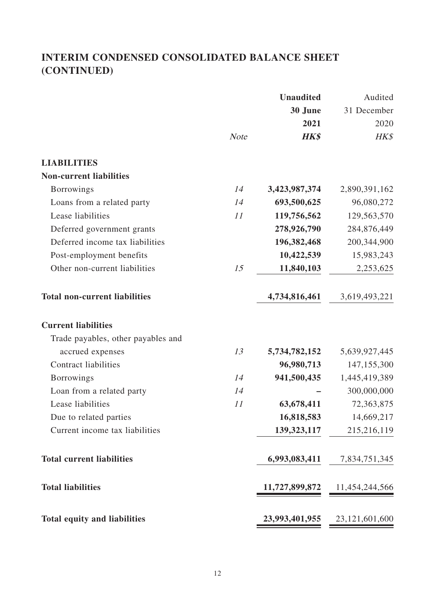# **INTERIM CONDENSED CONSOLIDATED BALANCE SHEET (CONTINUED)**

|                                      |             | <b>Unaudited</b> | Audited                       |
|--------------------------------------|-------------|------------------|-------------------------------|
|                                      |             | 30 June          | 31 December                   |
|                                      |             | 2021             | 2020                          |
|                                      | <b>Note</b> | <b>HK\$</b>      | HK\$                          |
| <b>LIABILITIES</b>                   |             |                  |                               |
| <b>Non-current liabilities</b>       |             |                  |                               |
| <b>Borrowings</b>                    | 14          | 3,423,987,374    | 2,890,391,162                 |
| Loans from a related party           | 14          | 693,500,625      | 96,080,272                    |
| Lease liabilities                    | 11          | 119,756,562      | 129,563,570                   |
| Deferred government grants           |             | 278,926,790      | 284,876,449                   |
| Deferred income tax liabilities      |             | 196,382,468      | 200,344,900                   |
| Post-employment benefits             |             | 10,422,539       | 15,983,243                    |
| Other non-current liabilities        | 15          | 11,840,103       | 2,253,625                     |
| <b>Total non-current liabilities</b> |             | 4,734,816,461    | 3,619,493,221                 |
| <b>Current liabilities</b>           |             |                  |                               |
| Trade payables, other payables and   |             |                  |                               |
| accrued expenses                     | 13          | 5,734,782,152    | 5,639,927,445                 |
| <b>Contract liabilities</b>          |             | 96,980,713       | 147,155,300                   |
| <b>Borrowings</b>                    | 14          | 941,500,435      | 1,445,419,389                 |
| Loan from a related party            | 14          |                  | 300,000,000                   |
| Lease liabilities                    | 11          | 63,678,411       | 72,363,875                    |
| Due to related parties               |             | 16,818,583       | 14,669,217                    |
| Current income tax liabilities       |             | 139, 323, 117    | 215,216,119                   |
| <b>Total current liabilities</b>     |             | 6,993,083,411    | 7,834,751,345                 |
| <b>Total liabilities</b>             |             | 11,727,899,872   | 11,454,244,566                |
| <b>Total equity and liabilities</b>  |             |                  | 23,993,401,955 23,121,601,600 |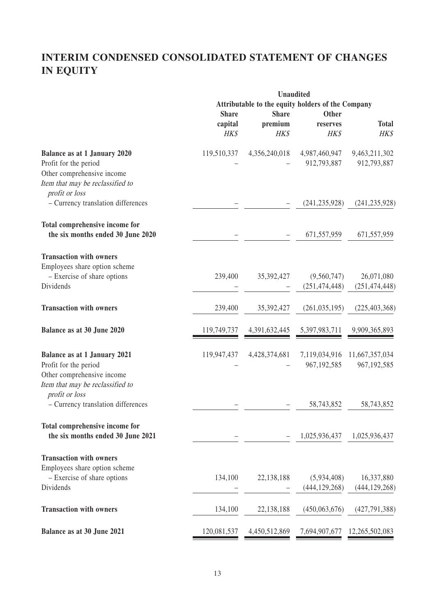# **INTERIM CONDENSED CONSOLIDATED STATEMENT OF CHANGES IN EQUITY**

|                                     | <b>Unaudited</b>                                  |               |                                            |                 |
|-------------------------------------|---------------------------------------------------|---------------|--------------------------------------------|-----------------|
|                                     | Attributable to the equity holders of the Company |               |                                            |                 |
|                                     | <b>Share</b>                                      | <b>Share</b>  | <b>Other</b>                               |                 |
|                                     | capital                                           | premium       | reserves                                   | <b>Total</b>    |
|                                     | HK\$                                              | HK\$          | HK\$                                       | HK\$            |
| <b>Balance as at 1 January 2020</b> | 119,510,337                                       | 4,356,240,018 | 4,987,460,947                              | 9,463,211,302   |
| Profit for the period               |                                                   |               | 912,793,887                                | 912,793,887     |
| Other comprehensive income          |                                                   |               |                                            |                 |
| Item that may be reclassified to    |                                                   |               |                                            |                 |
| profit or loss                      |                                                   |               |                                            |                 |
| - Currency translation differences  |                                                   |               | (241, 235, 928)                            | (241, 235, 928) |
|                                     |                                                   |               |                                            |                 |
| Total comprehensive income for      |                                                   |               |                                            |                 |
| the six months ended 30 June 2020   |                                                   |               | 671,557,959                                | 671,557,959     |
| <b>Transaction with owners</b>      |                                                   |               |                                            |                 |
| Employees share option scheme       |                                                   |               |                                            |                 |
| - Exercise of share options         | 239,400                                           | 35,392,427    | (9,560,747)                                | 26,071,080      |
| Dividends                           |                                                   |               | (251, 474, 448)                            | (251, 474, 448) |
|                                     |                                                   |               |                                            |                 |
| <b>Transaction with owners</b>      | 239,400                                           | 35,392,427    | (261, 035, 195)                            | (225, 403, 368) |
| Balance as at 30 June 2020          | 119,749,737                                       | 4,391,632,445 | 5,397,983,711                              | 9,909,365,893   |
|                                     |                                                   |               |                                            |                 |
| <b>Balance as at 1 January 2021</b> | 119,947,437                                       | 4,428,374,681 | 7,119,034,916                              | 11,667,357,034  |
| Profit for the period               |                                                   |               | 967, 192, 585                              | 967,192,585     |
| Other comprehensive income          |                                                   |               |                                            |                 |
| Item that may be reclassified to    |                                                   |               |                                            |                 |
| profit or loss                      |                                                   |               |                                            |                 |
| - Currency translation differences  |                                                   |               | 58,743,852                                 | 58,743,852      |
| Total comprehensive income for      |                                                   |               |                                            |                 |
| the six months ended 30 June 2021   |                                                   |               | 1,025,936,437                              | 1,025,936,437   |
| <b>Transaction with owners</b>      |                                                   |               |                                            |                 |
| Employees share option scheme       |                                                   |               |                                            |                 |
| - Exercise of share options         | 134,100                                           | 22,138,188    | (5,934,408)                                | 16,337,880      |
| Dividends                           |                                                   |               | (444, 129, 268)                            | (444, 129, 268) |
|                                     |                                                   |               |                                            |                 |
| <b>Transaction with owners</b>      | 134,100                                           | 22,138,188    | (450,063,676)                              | (427, 791, 388) |
| Balance as at 30 June 2021          | 120,081,537                                       |               | 4,450,512,869 7,694,907,677 12,265,502,083 |                 |
|                                     |                                                   |               |                                            |                 |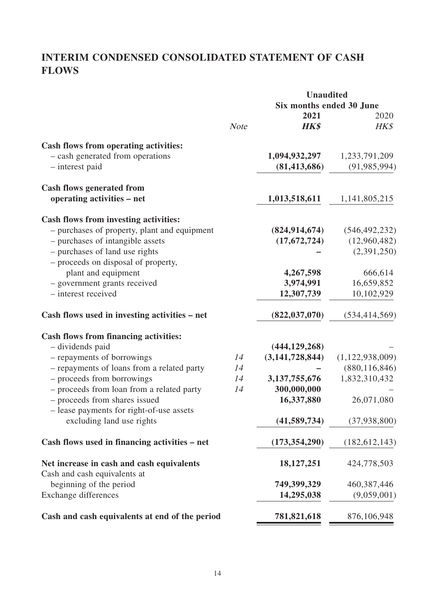# **INTERIM CONDENSED CONSOLIDATED STATEMENT OF CASH FLOWS**

|                                                                |             |                    | <b>Unaudited</b><br>Six months ended 30 June |  |
|----------------------------------------------------------------|-------------|--------------------|----------------------------------------------|--|
|                                                                |             |                    |                                              |  |
|                                                                |             | 2021               | 2020                                         |  |
|                                                                | <b>Note</b> | <b>HK\$</b>        | HK\$                                         |  |
| <b>Cash flows from operating activities:</b>                   |             |                    |                                              |  |
| - cash generated from operations                               |             | 1,094,932,297      | 1,233,791,209                                |  |
| - interest paid                                                |             | (81, 413, 686)     | (91, 985, 994)                               |  |
|                                                                |             |                    |                                              |  |
| <b>Cash flows generated from</b><br>operating activities – net |             | 1,013,518,611      | 1,141,805,215                                |  |
|                                                                |             |                    |                                              |  |
| <b>Cash flows from investing activities:</b>                   |             |                    |                                              |  |
| - purchases of property, plant and equipment                   |             | (824, 914, 674)    | (546, 492, 232)                              |  |
| - purchases of intangible assets                               |             | (17,672,724)       | (12,960,482)                                 |  |
| - purchases of land use rights                                 |             |                    | (2,391,250)                                  |  |
| - proceeds on disposal of property,<br>plant and equipment     |             | 4,267,598          | 666,614                                      |  |
| - government grants received                                   |             | 3,974,991          | 16,659,852                                   |  |
| - interest received                                            |             | 12,307,739         | 10,102,929                                   |  |
|                                                                |             |                    |                                              |  |
| Cash flows used in investing activities – net                  |             | (822, 037, 070)    | (534, 414, 569)                              |  |
| <b>Cash flows from financing activities:</b>                   |             |                    |                                              |  |
| - dividends paid                                               |             | (444, 129, 268)    |                                              |  |
| - repayments of borrowings                                     | 14          | (3, 141, 728, 844) | (1,122,938,009)                              |  |
| - repayments of loans from a related party                     | 14          |                    | (880, 116, 846)                              |  |
| - proceeds from borrowings                                     | 14          | 3, 137, 755, 676   | 1,832,310,432                                |  |
| - proceeds from loan from a related party                      | 14          | 300,000,000        |                                              |  |
| - proceeds from shares issued                                  |             | 16,337,880         | 26,071,080                                   |  |
| - lease payments for right-of-use assets                       |             |                    |                                              |  |
| excluding land use rights                                      |             | (41, 589, 734)     | (37, 938, 800)                               |  |
|                                                                |             |                    |                                              |  |
| Cash flows used in financing activities – net                  |             | (173, 354, 290)    | (182, 612, 143)                              |  |
| Net increase in cash and cash equivalents                      |             | 18, 127, 251       | 424,778,503                                  |  |
| Cash and cash equivalents at                                   |             |                    |                                              |  |
| beginning of the period                                        |             | 749,399,329        | 460, 387, 446                                |  |
| <b>Exchange differences</b>                                    |             | 14,295,038         | (9,059,001)                                  |  |
| Cash and cash equivalents at end of the period                 |             | 781,821,618        | 876,106,948                                  |  |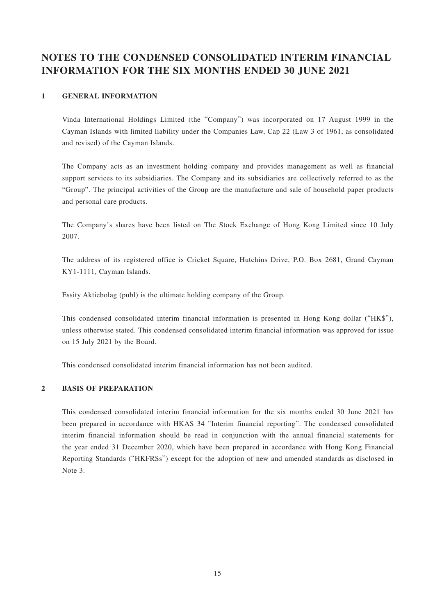# **NOTES TO THE CONDENSED CONSOLIDATED INTERIM FINANCIAL INFORMATION FOR THE SIX MONTHS ENDED 30 JUNE 2021**

#### **1 GENERAL INFORMATION**

Vinda International Holdings Limited (the "Company") was incorporated on 17 August 1999 in the Cayman Islands with limited liability under the Companies Law, Cap 22 (Law 3 of 1961, as consolidated and revised) of the Cayman Islands.

The Company acts as an investment holding company and provides management as well as financial support services to its subsidiaries. The Company and its subsidiaries are collectively referred to as the "Group". The principal activities of the Group are the manufacture and sale of household paper products and personal care products.

The Company's shares have been listed on The Stock Exchange of Hong Kong Limited since 10 July 2007.

The address of its registered office is Cricket Square, Hutchins Drive, P.O. Box 2681, Grand Cayman KY1-1111, Cayman Islands.

Essity Aktiebolag (publ) is the ultimate holding company of the Group.

This condensed consolidated interim financial information is presented in Hong Kong dollar ("HK\$"), unless otherwise stated. This condensed consolidated interim financial information was approved for issue on 15 July 2021 by the Board.

This condensed consolidated interim financial information has not been audited.

## **2 BASIS OF PREPARATION**

This condensed consolidated interim financial information for the six months ended 30 June 2021 has been prepared in accordance with HKAS 34 "Interim financial reporting". The condensed consolidated interim financial information should be read in conjunction with the annual financial statements for the year ended 31 December 2020, which have been prepared in accordance with Hong Kong Financial Reporting Standards ("HKFRSs") except for the adoption of new and amended standards as disclosed in Note 3.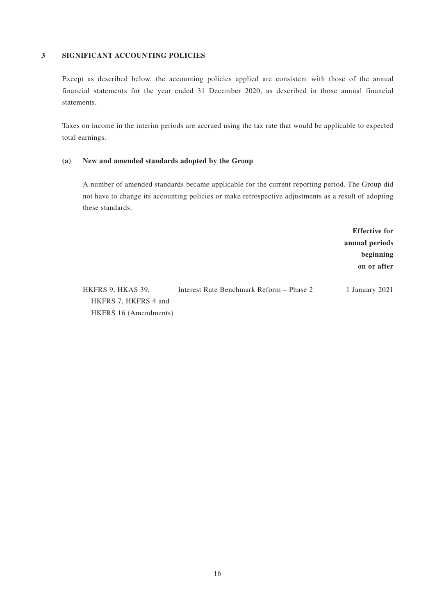#### **3 SIGNIFICANT ACCOUNTING POLICIES**

Except as described below, the accounting policies applied are consistent with those of the annual financial statements for the year ended 31 December 2020, as described in those annual financial statements.

Taxes on income in the interim periods are accrued using the tax rate that would be applicable to expected total earnings.

#### **(a) New and amended standards adopted by the Group**

A number of amended standards became applicable for the current reporting period. The Group did not have to change its accounting policies or make retrospective adjustments as a result of adopting these standards.

> **Effective for annual periods beginning on or after**

HKFRS 9, HKAS 39, HKFRS 7, HKFRS 4 and HKFRS 16 (Amendments) Interest Rate Benchmark Reform – Phase 2 1 January 2021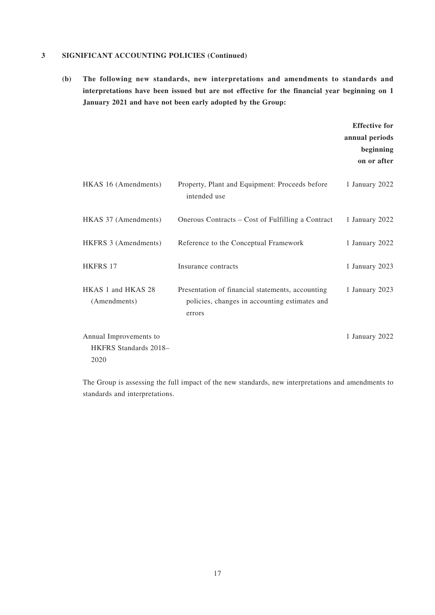#### **3 SIGNIFICANT ACCOUNTING POLICIES (Continued)**

**(b) The following new standards, new interpretations and amendments to standards and interpretations have been issued but are not effective for the financial year beginning on 1 January 2021 and have not been early adopted by the Group:**

|                                                         |                                                                                                             | <b>Effective for</b><br>annual periods<br>beginning<br>on or after |
|---------------------------------------------------------|-------------------------------------------------------------------------------------------------------------|--------------------------------------------------------------------|
| HKAS 16 (Amendments)                                    | Property, Plant and Equipment: Proceeds before<br>intended use                                              | 1 January 2022                                                     |
| HKAS 37 (Amendments)                                    | Onerous Contracts – Cost of Fulfilling a Contract                                                           | 1 January 2022                                                     |
| HKFRS 3 (Amendments)                                    | Reference to the Conceptual Framework                                                                       | 1 January 2022                                                     |
| <b>HKFRS 17</b>                                         | Insurance contracts                                                                                         | 1 January 2023                                                     |
| HKAS 1 and HKAS 28<br>(Amendments)                      | Presentation of financial statements, accounting<br>policies, changes in accounting estimates and<br>errors | 1 January 2023                                                     |
| Annual Improvements to<br>HKFRS Standards 2018-<br>2020 |                                                                                                             | 1 January 2022                                                     |

The Group is assessing the full impact of the new standards, new interpretations and amendments to standards and interpretations.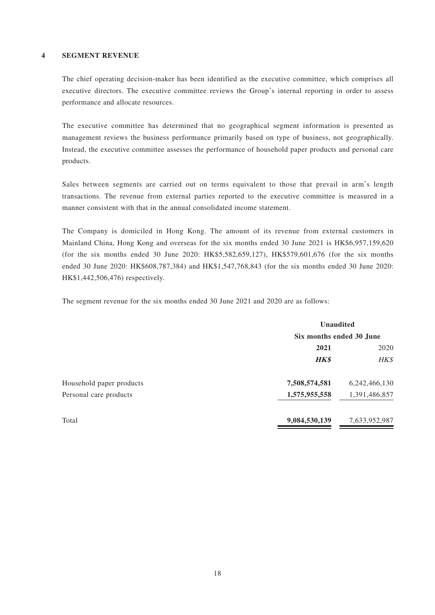#### **4 SEGMENT REVENUE**

The chief operating decision-maker has been identified as the executive committee, which comprises all executive directors. The executive committee reviews the Group's internal reporting in order to assess performance and allocate resources.

The executive committee has determined that no geographical segment information is presented as management reviews the business performance primarily based on type of business, not geographically. Instead, the executive committee assesses the performance of household paper products and personal care products.

Sales between segments are carried out on terms equivalent to those that prevail in arm's length transactions. The revenue from external parties reported to the executive committee is measured in a manner consistent with that in the annual consolidated income statement.

The Company is domiciled in Hong Kong. The amount of its revenue from external customers in Mainland China, Hong Kong and overseas for the six months ended 30 June 2021 is HK\$6,957,159,620 (for the six months ended 30 June 2020: HK\$5,582,659,127), HK\$579,601,676 (for the six months ended 30 June 2020: HK\$608,787,384) and HK\$1,547,768,843 (for the six months ended 30 June 2020: HK\$1,442,506,476) respectively.

The segment revenue for the six months ended 30 June 2021 and 2020 are as follows:

|                          | <b>Unaudited</b>         |                  |
|--------------------------|--------------------------|------------------|
|                          | Six months ended 30 June |                  |
|                          | 2021                     | 2020             |
|                          | <b>HK\$</b>              | HK\$             |
| Household paper products | 7,508,574,581            | 6, 242, 466, 130 |
| Personal care products   | 1,575,955,558            | 1,391,486,857    |
| Total                    | 9,084,530,139            | 7,633,952,987    |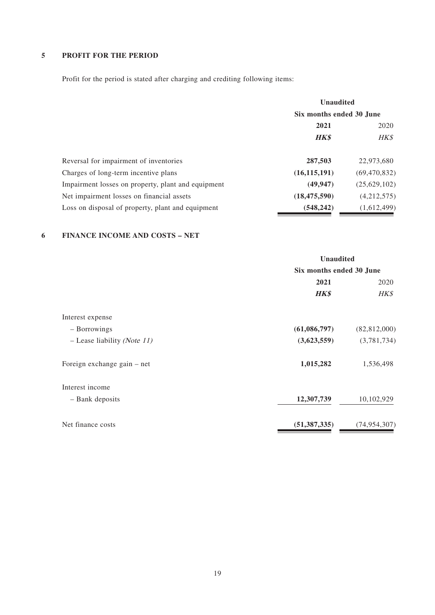# **5 PROFIT FOR THE PERIOD**

Profit for the period is stated after charging and crediting following items:

|                                                    | <b>Unaudited</b>         |                |
|----------------------------------------------------|--------------------------|----------------|
|                                                    | Six months ended 30 June |                |
|                                                    | 2021                     | 2020           |
|                                                    | <b>HK\$</b>              | HK\$           |
| Reversal for impairment of inventories             | 287,503                  | 22,973,680     |
| Charges of long-term incentive plans               | (16, 115, 191)           | (69, 470, 832) |
| Impairment losses on property, plant and equipment | (49, 947)                | (25,629,102)   |
| Net impairment losses on financial assets          | (18, 475, 590)           | (4,212,575)    |
| Loss on disposal of property, plant and equipment  | (548, 242)               | (1,612,499)    |

### **6 FINANCE INCOME AND COSTS – NET**

|                               | <b>Unaudited</b><br>Six months ended 30 June |                |
|-------------------------------|----------------------------------------------|----------------|
|                               |                                              |                |
|                               | 2021                                         | 2020           |
|                               | <b>HK\$</b>                                  | HK\$           |
| Interest expense              |                                              |                |
| - Borrowings                  | (61,086,797)                                 | (82,812,000)   |
| $-$ Lease liability (Note 11) | (3,623,559)                                  | (3,781,734)    |
| Foreign exchange gain – net   | 1,015,282                                    | 1,536,498      |
| Interest income               |                                              |                |
| - Bank deposits               | 12,307,739                                   | 10,102,929     |
| Net finance costs             | (51, 387, 335)                               | (74, 954, 307) |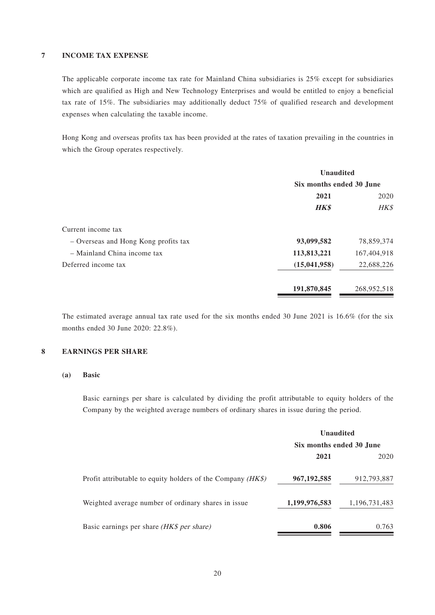#### **7 INCOME TAX EXPENSE**

The applicable corporate income tax rate for Mainland China subsidiaries is 25% except for subsidiaries which are qualified as High and New Technology Enterprises and would be entitled to enjoy a beneficial tax rate of 15%. The subsidiaries may additionally deduct 75% of qualified research and development expenses when calculating the taxable income.

Hong Kong and overseas profits tax has been provided at the rates of taxation prevailing in the countries in which the Group operates respectively.

|                                      | <b>Unaudited</b>         |             |
|--------------------------------------|--------------------------|-------------|
|                                      | Six months ended 30 June |             |
|                                      | 2021                     | 2020        |
|                                      | <b>HK\$</b>              | HK\$        |
| Current income tax                   |                          |             |
| - Overseas and Hong Kong profits tax | 93,099,582               | 78,859,374  |
| $-$ Mainland China income tax        | 113,813,221              | 167,404,918 |
| Deferred income tax                  | (15,041,958)             | 22,688,226  |
|                                      | 191,870,845              | 268,952,518 |

The estimated average annual tax rate used for the six months ended 30 June 2021 is 16.6% (for the six months ended 30 June 2020: 22.8%).

### **8 EARNINGS PER SHARE**

#### **(a) Basic**

Basic earnings per share is calculated by dividing the profit attributable to equity holders of the Company by the weighted average numbers of ordinary shares in issue during the period.

|                                                               | <b>Unaudited</b><br>Six months ended 30 June |               |
|---------------------------------------------------------------|----------------------------------------------|---------------|
|                                                               |                                              |               |
|                                                               | 2021                                         | 2020          |
| Profit attributable to equity holders of the Company $(HK\$ ) | 967, 192, 585                                | 912,793,887   |
| Weighted average number of ordinary shares in issue.          | 1,199,976,583                                | 1,196,731,483 |
| Basic earnings per share (HK\$ per share)                     | 0.806                                        | 0.763         |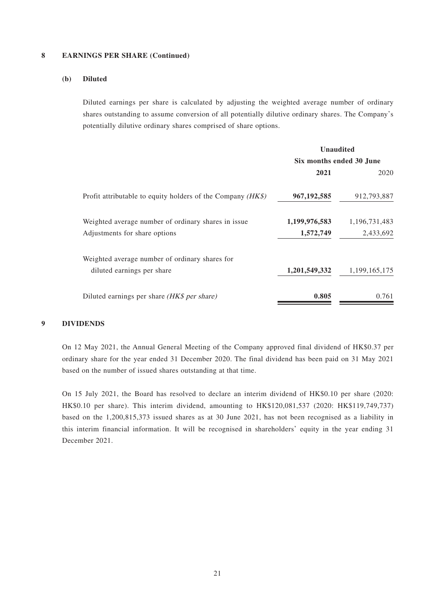#### **8 EARNINGS PER SHARE (Continued)**

### **(b) Diluted**

Diluted earnings per share is calculated by adjusting the weighted average number of ordinary shares outstanding to assume conversion of all potentially dilutive ordinary shares. The Company's potentially dilutive ordinary shares comprised of share options.

|                                                               | <b>Unaudited</b><br>Six months ended 30 June |               |
|---------------------------------------------------------------|----------------------------------------------|---------------|
|                                                               |                                              |               |
|                                                               | 2021                                         | 2020          |
| Profit attributable to equity holders of the Company $(HK\$ ) | 967, 192, 585                                | 912,793,887   |
| Weighted average number of ordinary shares in issue           | 1,199,976,583                                | 1,196,731,483 |
| Adjustments for share options                                 | 1,572,749                                    | 2,433,692     |
| Weighted average number of ordinary shares for                |                                              |               |
| diluted earnings per share                                    | 1,201,549,332                                | 1,199,165,175 |
| Diluted earnings per share (HK\$ per share)                   | 0.805                                        | 0.761         |

#### **9 DIVIDENDS**

On 12 May 2021, the Annual General Meeting of the Company approved final dividend of HK\$0.37 per ordinary share for the year ended 31 December 2020. The final dividend has been paid on 31 May 2021 based on the number of issued shares outstanding at that time.

On 15 July 2021, the Board has resolved to declare an interim dividend of HK\$0.10 per share (2020: HK\$0.10 per share). This interim dividend, amounting to HK\$120,081,537 (2020: HK\$119,749,737) based on the 1,200,815,373 issued shares as at 30 June 2021, has not been recognised as a liability in this interim financial information. It will be recognised in shareholders' equity in the year ending 31 December 2021.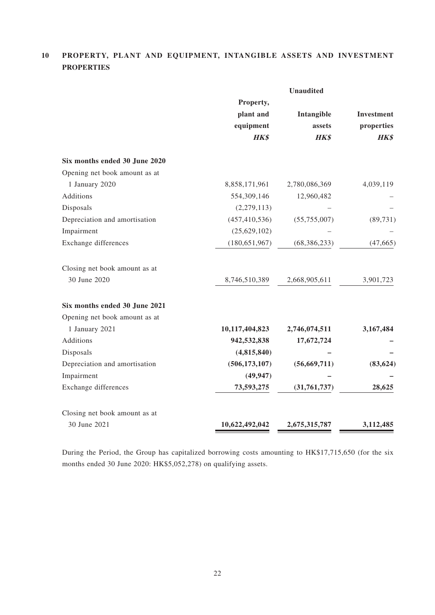# **10 PROPERTY, PLANT AND EQUIPMENT, INTANGIBLE ASSETS AND INVESTMENT PROPERTIES**

|                               |                 | <b>Unaudited</b> |            |
|-------------------------------|-----------------|------------------|------------|
|                               | Property,       |                  |            |
|                               | plant and       | Intangible       | Investment |
|                               | equipment       | assets           | properties |
|                               | HK\$            | <b>HK\$</b>      | HK\$       |
| Six months ended 30 June 2020 |                 |                  |            |
| Opening net book amount as at |                 |                  |            |
| 1 January 2020                | 8,858,171,961   | 2,780,086,369    | 4,039,119  |
| Additions                     | 554,309,146     | 12,960,482       |            |
| Disposals                     | (2,279,113)     |                  |            |
| Depreciation and amortisation | (457, 410, 536) | (55,755,007)     | (89, 731)  |
| Impairment                    | (25,629,102)    |                  |            |
| Exchange differences          | (180, 651, 967) | (68, 386, 233)   | (47, 665)  |
| Closing net book amount as at |                 |                  |            |
| 30 June 2020                  | 8,746,510,389   | 2,668,905,611    | 3,901,723  |
| Six months ended 30 June 2021 |                 |                  |            |
| Opening net book amount as at |                 |                  |            |
| 1 January 2021                | 10,117,404,823  | 2,746,074,511    | 3,167,484  |
| Additions                     | 942,532,838     | 17,672,724       |            |
| Disposals                     | (4,815,840)     |                  |            |
| Depreciation and amortisation | (506, 173, 107) | (56, 669, 711)   | (83, 624)  |
| Impairment                    | (49, 947)       |                  |            |
| Exchange differences          | 73,593,275      | (31, 761, 737)   | 28,625     |
| Closing net book amount as at |                 |                  |            |
| 30 June 2021                  | 10,622,492,042  | 2,675,315,787    | 3,112,485  |
|                               |                 |                  |            |

During the Period, the Group has capitalized borrowing costs amounting to HK\$17,715,650 (for the six months ended 30 June 2020: HK\$5,052,278) on qualifying assets.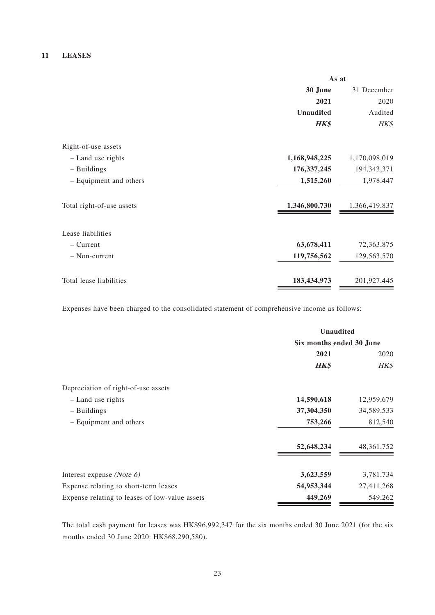#### **11 LEASES**

|                           | As at            |               |
|---------------------------|------------------|---------------|
|                           | 30 June          | 31 December   |
|                           | 2021             | 2020          |
|                           | <b>Unaudited</b> | Audited       |
|                           | <b>HK\$</b>      | HK\$          |
| Right-of-use assets       |                  |               |
| - Land use rights         | 1,168,948,225    | 1,170,098,019 |
| - Buildings               | 176, 337, 245    | 194, 343, 371 |
| - Equipment and others    | 1,515,260        | 1,978,447     |
| Total right-of-use assets | 1,346,800,730    | 1,366,419,837 |
| Lease liabilities         |                  |               |
| $-$ Current               | 63,678,411       | 72,363,875    |
| $-$ Non-current           | 119,756,562      | 129,563,570   |
| Total lease liabilities   | 183,434,973      | 201,927,445   |

Expenses have been charged to the consolidated statement of comprehensive income as follows:

|                                                | <b>Unaudited</b>         |              |
|------------------------------------------------|--------------------------|--------------|
|                                                | Six months ended 30 June |              |
|                                                | 2021                     | 2020         |
|                                                | <b>HK\$</b>              | HK\$         |
| Depreciation of right-of-use assets            |                          |              |
| - Land use rights                              | 14,590,618               | 12,959,679   |
| - Buildings                                    | 37,304,350               | 34,589,533   |
| - Equipment and others                         | 753,266                  | 812,540      |
|                                                | 52,648,234               | 48, 361, 752 |
| Interest expense (Note $6$ )                   | 3,623,559                | 3,781,734    |
| Expense relating to short-term leases          | 54,953,344               | 27,411,268   |
| Expense relating to leases of low-value assets | 449,269                  | 549,262      |

The total cash payment for leases was HK\$96,992,347 for the six months ended 30 June 2021 (for the six months ended 30 June 2020: HK\$68,290,580).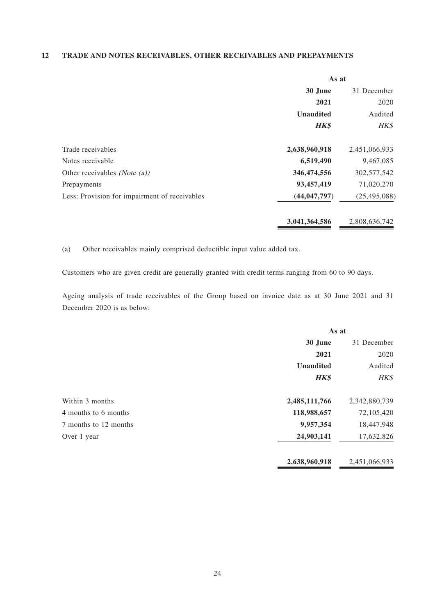#### **12 TRADE AND NOTES RECEIVABLES, OTHER RECEIVABLES AND PREPAYMENTS**

|                                               | As at            |                |
|-----------------------------------------------|------------------|----------------|
|                                               | 30 June          | 31 December    |
|                                               | 2021             | 2020           |
|                                               | <b>Unaudited</b> | Audited        |
|                                               | <b>HK\$</b>      | HK\$           |
| Trade receivables                             | 2,638,960,918    | 2,451,066,933  |
| Notes receivable                              | 6,519,490        | 9,467,085      |
| Other receivables ( <i>Note (a)</i> )         | 346,474,556      | 302,577,542    |
| Prepayments                                   | 93,457,419       | 71,020,270     |
| Less: Provision for impairment of receivables | (44, 047, 797)   | (25, 495, 088) |
|                                               | 3,041,364,586    | 2,808,636,742  |

(a) Other receivables mainly comprised deductible input value added tax.

Customers who are given credit are generally granted with credit terms ranging from 60 to 90 days.

Ageing analysis of trade receivables of the Group based on invoice date as at 30 June 2021 and 31 December 2020 is as below:

|                       | As at            |               |
|-----------------------|------------------|---------------|
|                       | 30 June          | 31 December   |
|                       | 2021             | 2020          |
|                       | <b>Unaudited</b> | Audited       |
|                       | <b>HK\$</b>      | HK\$          |
| Within 3 months       | 2,485,111,766    | 2,342,880,739 |
| 4 months to 6 months  | 118,988,657      | 72,105,420    |
| 7 months to 12 months | 9,957,354        | 18,447,948    |
| Over 1 year           | 24,903,141       | 17,632,826    |
|                       | 2,638,960,918    | 2,451,066,933 |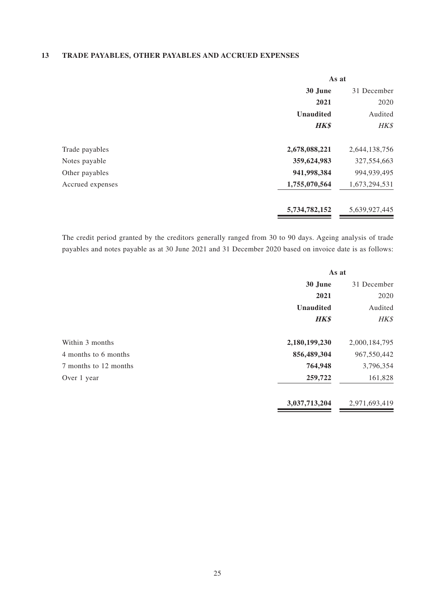## **13 TRADE PAYABLES, OTHER PAYABLES AND ACCRUED EXPENSES**

|                  | As at            |               |
|------------------|------------------|---------------|
|                  | 30 June          | 31 December   |
|                  | 2021             | 2020          |
|                  | <b>Unaudited</b> | Audited       |
|                  | <b>HK\$</b>      | HK\$          |
| Trade payables   | 2,678,088,221    | 2,644,138,756 |
| Notes payable    | 359,624,983      | 327, 554, 663 |
| Other payables   | 941,998,384      | 994,939,495   |
| Accrued expenses | 1,755,070,564    | 1,673,294,531 |
|                  | 5,734,782,152    | 5,639,927,445 |

The credit period granted by the creditors generally ranged from 30 to 90 days. Ageing analysis of trade payables and notes payable as at 30 June 2021 and 31 December 2020 based on invoice date is as follows:

|                       | As at            |               |
|-----------------------|------------------|---------------|
|                       | 30 June          | 31 December   |
|                       | 2021             | 2020          |
|                       | <b>Unaudited</b> | Audited       |
|                       | <b>HK\$</b>      | HK\$          |
| Within 3 months       | 2,180,199,230    | 2,000,184,795 |
| 4 months to 6 months  | 856,489,304      | 967,550,442   |
| 7 months to 12 months | 764,948          | 3,796,354     |
| Over 1 year           | 259,722          | 161,828       |
|                       | 3,037,713,204    | 2,971,693,419 |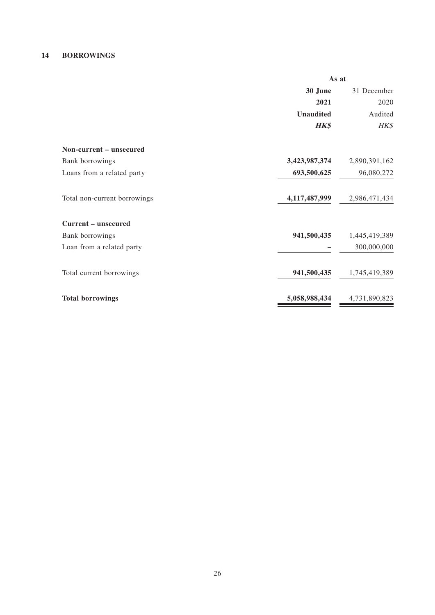#### **14 BORROWINGS**

|                              | As at            |               |
|------------------------------|------------------|---------------|
|                              | 30 June          | 31 December   |
|                              | 2021             | 2020          |
|                              | <b>Unaudited</b> | Audited       |
|                              | <b>HK\$</b>      | HK\$          |
| Non-current – unsecured      |                  |               |
| Bank borrowings              | 3,423,987,374    | 2,890,391,162 |
| Loans from a related party   | 693,500,625      | 96,080,272    |
| Total non-current borrowings | 4,117,487,999    | 2,986,471,434 |
| <b>Current – unsecured</b>   |                  |               |
| Bank borrowings              | 941,500,435      | 1,445,419,389 |
| Loan from a related party    |                  | 300,000,000   |
| Total current borrowings     | 941,500,435      | 1,745,419,389 |
| <b>Total borrowings</b>      | 5,058,988,434    | 4,731,890,823 |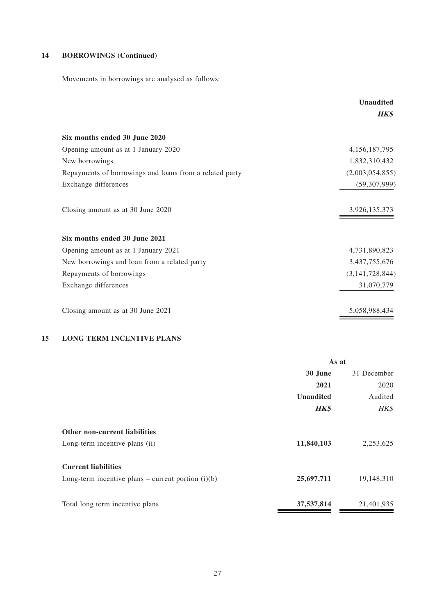# **14 BORROWINGS (Continued)**

Movements in borrowings are analysed as follows:

|                                                         | <b>Unaudited</b> |
|---------------------------------------------------------|------------------|
|                                                         | <b>HK\$</b>      |
| Six months ended 30 June 2020                           |                  |
| Opening amount as at 1 January 2020                     | 4, 156, 187, 795 |
| New borrowings                                          | 1,832,310,432    |
| Repayments of borrowings and loans from a related party | (2,003,054,855)  |
| Exchange differences                                    | (59, 307, 999)   |
| Closing amount as at 30 June 2020                       | 3,926,135,373    |
| Six months ended 30 June 2021                           |                  |
| Opening amount as at 1 January 2021                     | 4,731,890,823    |
| New borrowings and loan from a related party            | 3,437,755,676    |
| Repayments of borrowings                                | (3,141,728,844)  |
| Exchange differences                                    | 31,070,779       |
| Closing amount as at 30 June 2021                       | 5,058,988,434    |

# **15 LONG TERM INCENTIVE PLANS**

|                                                      | As at            |             |
|------------------------------------------------------|------------------|-------------|
|                                                      | 30 June          | 31 December |
|                                                      | 2021             | 2020        |
|                                                      | <b>Unaudited</b> | Audited     |
|                                                      | <b>HK\$</b>      | HK\$        |
| <b>Other non-current liabilities</b>                 |                  |             |
| Long-term incentive plans (ii)                       | 11,840,103       | 2,253,625   |
| <b>Current liabilities</b>                           |                  |             |
| Long-term incentive plans – current portion $(i)(b)$ | 25,697,711       | 19,148,310  |
| Total long term incentive plans                      | 37,537,814       | 21,401,935  |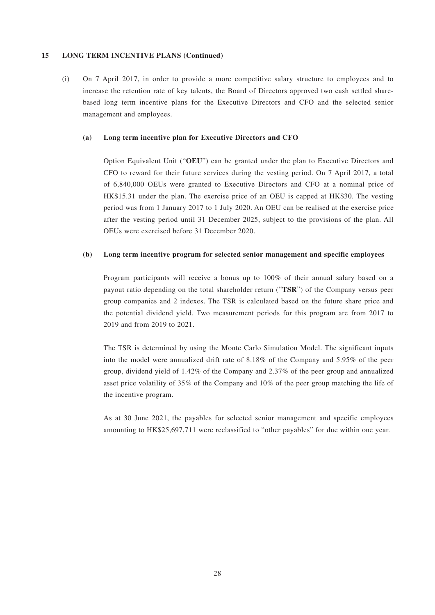#### **15 LONG TERM INCENTIVE PLANS (Continued)**

(i) On 7 April 2017, in order to provide a more competitive salary structure to employees and to increase the retention rate of key talents, the Board of Directors approved two cash settled sharebased long term incentive plans for the Executive Directors and CFO and the selected senior management and employees.

#### **(a) Long term incentive plan for Executive Directors and CFO**

Option Equivalent Unit ("**OEU**") can be granted under the plan to Executive Directors and CFO to reward for their future services during the vesting period. On 7 April 2017, a total of 6,840,000 OEUs were granted to Executive Directors and CFO at a nominal price of HK\$15.31 under the plan. The exercise price of an OEU is capped at HK\$30. The vesting period was from 1 January 2017 to 1 July 2020. An OEU can be realised at the exercise price after the vesting period until 31 December 2025, subject to the provisions of the plan. All OEUs were exercised before 31 December 2020.

#### **(b) Long term incentive program for selected senior management and specific employees**

Program participants will receive a bonus up to 100% of their annual salary based on a payout ratio depending on the total shareholder return ("**TSR**") of the Company versus peer group companies and 2 indexes. The TSR is calculated based on the future share price and the potential dividend yield. Two measurement periods for this program are from 2017 to 2019 and from 2019 to 2021.

The TSR is determined by using the Monte Carlo Simulation Model. The significant inputs into the model were annualized drift rate of 8.18% of the Company and 5.95% of the peer group, dividend yield of 1.42% of the Company and 2.37% of the peer group and annualized asset price volatility of 35% of the Company and 10% of the peer group matching the life of the incentive program.

As at 30 June 2021, the payables for selected senior management and specific employees amounting to HK\$25,697,711 were reclassified to "other payables" for due within one year.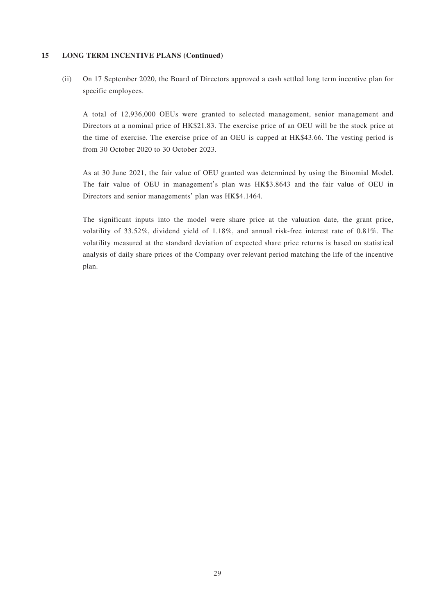#### **15 LONG TERM INCENTIVE PLANS (Continued)**

(ii) On 17 September 2020, the Board of Directors approved a cash settled long term incentive plan for specific employees.

A total of 12,936,000 OEUs were granted to selected management, senior management and Directors at a nominal price of HK\$21.83. The exercise price of an OEU will be the stock price at the time of exercise. The exercise price of an OEU is capped at HK\$43.66. The vesting period is from 30 October 2020 to 30 October 2023.

As at 30 June 2021, the fair value of OEU granted was determined by using the Binomial Model. The fair value of OEU in management's plan was HK\$3.8643 and the fair value of OEU in Directors and senior managements' plan was HK\$4.1464.

The significant inputs into the model were share price at the valuation date, the grant price, volatility of 33.52%, dividend yield of 1.18%, and annual risk-free interest rate of 0.81%. The volatility measured at the standard deviation of expected share price returns is based on statistical analysis of daily share prices of the Company over relevant period matching the life of the incentive plan.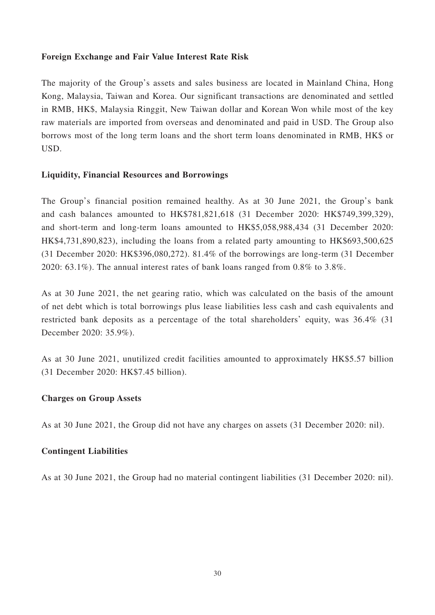# **Foreign Exchange and Fair Value Interest Rate Risk**

The majority of the Group's assets and sales business are located in Mainland China, Hong Kong, Malaysia, Taiwan and Korea. Our significant transactions are denominated and settled in RMB, HK\$, Malaysia Ringgit, New Taiwan dollar and Korean Won while most of the key raw materials are imported from overseas and denominated and paid in USD. The Group also borrows most of the long term loans and the short term loans denominated in RMB, HK\$ or USD.

# **Liquidity, Financial Resources and Borrowings**

The Group's financial position remained healthy. As at 30 June 2021, the Group's bank and cash balances amounted to HK\$781,821,618 (31 December 2020: HK\$749,399,329), and short-term and long-term loans amounted to HK\$5,058,988,434 (31 December 2020: HK\$4,731,890,823), including the loans from a related party amounting to HK\$693,500,625 (31 December 2020: HK\$396,080,272). 81.4% of the borrowings are long-term (31 December 2020: 63.1%). The annual interest rates of bank loans ranged from 0.8% to 3.8%.

As at 30 June 2021, the net gearing ratio, which was calculated on the basis of the amount of net debt which is total borrowings plus lease liabilities less cash and cash equivalents and restricted bank deposits as a percentage of the total shareholders' equity, was 36.4% (31 December 2020: 35.9%).

As at 30 June 2021, unutilized credit facilities amounted to approximately HK\$5.57 billion (31 December 2020: HK\$7.45 billion).

# **Charges on Group Assets**

As at 30 June 2021, the Group did not have any charges on assets (31 December 2020: nil).

# **Contingent Liabilities**

As at 30 June 2021, the Group had no material contingent liabilities (31 December 2020: nil).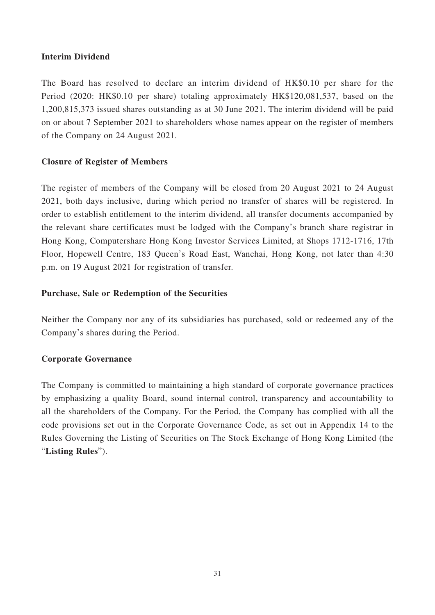# **Interim Dividend**

The Board has resolved to declare an interim dividend of HK\$0.10 per share for the Period (2020: HK\$0.10 per share) totaling approximately HK\$120,081,537, based on the 1,200,815,373 issued shares outstanding as at 30 June 2021. The interim dividend will be paid on or about 7 September 2021 to shareholders whose names appear on the register of members of the Company on 24 August 2021.

# **Closure of Register of Members**

The register of members of the Company will be closed from 20 August 2021 to 24 August 2021, both days inclusive, during which period no transfer of shares will be registered. In order to establish entitlement to the interim dividend, all transfer documents accompanied by the relevant share certificates must be lodged with the Company's branch share registrar in Hong Kong, Computershare Hong Kong Investor Services Limited, at Shops 1712-1716, 17th Floor, Hopewell Centre, 183 Queen's Road East, Wanchai, Hong Kong, not later than 4:30 p.m. on 19 August 2021 for registration of transfer.

# **Purchase, Sale or Redemption of the Securities**

Neither the Company nor any of its subsidiaries has purchased, sold or redeemed any of the Company's shares during the Period.

# **Corporate Governance**

The Company is committed to maintaining a high standard of corporate governance practices by emphasizing a quality Board, sound internal control, transparency and accountability to all the shareholders of the Company. For the Period, the Company has complied with all the code provisions set out in the Corporate Governance Code, as set out in Appendix 14 to the Rules Governing the Listing of Securities on The Stock Exchange of Hong Kong Limited (the "**Listing Rules**").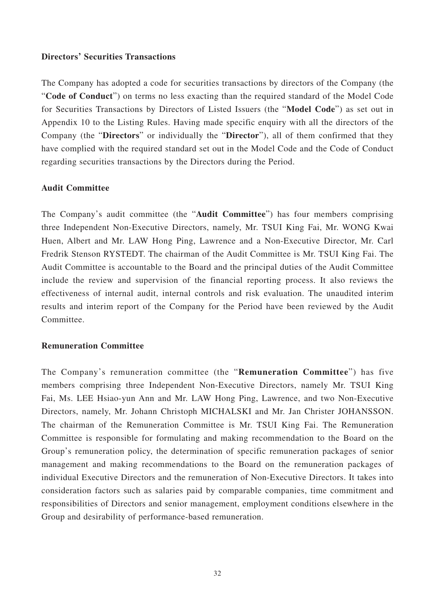## **Directors' Securities Transactions**

The Company has adopted a code for securities transactions by directors of the Company (the "**Code of Conduct**") on terms no less exacting than the required standard of the Model Code for Securities Transactions by Directors of Listed Issuers (the "**Model Code**") as set out in Appendix 10 to the Listing Rules. Having made specific enquiry with all the directors of the Company (the "**Directors**" or individually the "**Director**"), all of them confirmed that they have complied with the required standard set out in the Model Code and the Code of Conduct regarding securities transactions by the Directors during the Period.

## **Audit Committee**

The Company's audit committee (the "**Audit Committee**") has four members comprising three Independent Non-Executive Directors, namely, Mr. TSUI King Fai, Mr. WONG Kwai Huen, Albert and Mr. LAW Hong Ping, Lawrence and a Non-Executive Director, Mr. Carl Fredrik Stenson RYSTEDT. The chairman of the Audit Committee is Mr. TSUI King Fai. The Audit Committee is accountable to the Board and the principal duties of the Audit Committee include the review and supervision of the financial reporting process. It also reviews the effectiveness of internal audit, internal controls and risk evaluation. The unaudited interim results and interim report of the Company for the Period have been reviewed by the Audit Committee.

#### **Remuneration Committee**

The Company's remuneration committee (the "**Remuneration Committee**") has five members comprising three Independent Non-Executive Directors, namely Mr. TSUI King Fai, Ms. LEE Hsiao-yun Ann and Mr. LAW Hong Ping, Lawrence, and two Non-Executive Directors, namely, Mr. Johann Christoph MICHALSKI and Mr. Jan Christer JOHANSSON. The chairman of the Remuneration Committee is Mr. TSUI King Fai. The Remuneration Committee is responsible for formulating and making recommendation to the Board on the Group's remuneration policy, the determination of specific remuneration packages of senior management and making recommendations to the Board on the remuneration packages of individual Executive Directors and the remuneration of Non-Executive Directors. It takes into consideration factors such as salaries paid by comparable companies, time commitment and responsibilities of Directors and senior management, employment conditions elsewhere in the Group and desirability of performance-based remuneration.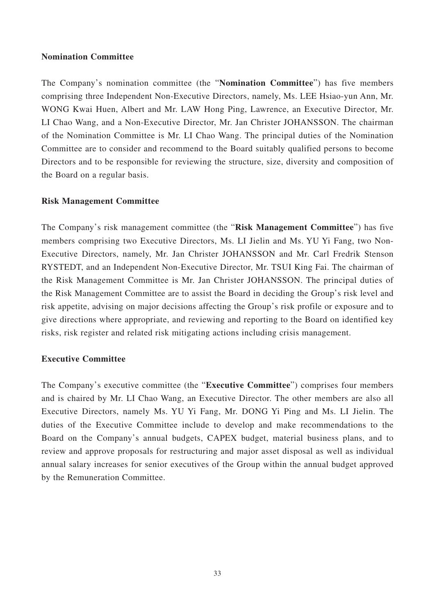# **Nomination Committee**

The Company's nomination committee (the "**Nomination Committee**") has five members comprising three Independent Non-Executive Directors, namely, Ms. LEE Hsiao-yun Ann, Mr. WONG Kwai Huen, Albert and Mr. LAW Hong Ping, Lawrence, an Executive Director, Mr. LI Chao Wang, and a Non-Executive Director, Mr. Jan Christer JOHANSSON. The chairman of the Nomination Committee is Mr. LI Chao Wang. The principal duties of the Nomination Committee are to consider and recommend to the Board suitably qualified persons to become Directors and to be responsible for reviewing the structure, size, diversity and composition of the Board on a regular basis.

# **Risk Management Committee**

The Company's risk management committee (the "**Risk Management Committee**") has five members comprising two Executive Directors, Ms. LI Jielin and Ms. YU Yi Fang, two Non-Executive Directors, namely, Mr. Jan Christer JOHANSSON and Mr. Carl Fredrik Stenson RYSTEDT, and an Independent Non-Executive Director, Mr. TSUI King Fai. The chairman of the Risk Management Committee is Mr. Jan Christer JOHANSSON. The principal duties of the Risk Management Committee are to assist the Board in deciding the Group's risk level and risk appetite, advising on major decisions affecting the Group's risk profile or exposure and to give directions where appropriate, and reviewing and reporting to the Board on identified key risks, risk register and related risk mitigating actions including crisis management.

# **Executive Committee**

The Company's executive committee (the "**Executive Committee**") comprises four members and is chaired by Mr. LI Chao Wang, an Executive Director. The other members are also all Executive Directors, namely Ms. YU Yi Fang, Mr. DONG Yi Ping and Ms. LI Jielin. The duties of the Executive Committee include to develop and make recommendations to the Board on the Company's annual budgets, CAPEX budget, material business plans, and to review and approve proposals for restructuring and major asset disposal as well as individual annual salary increases for senior executives of the Group within the annual budget approved by the Remuneration Committee.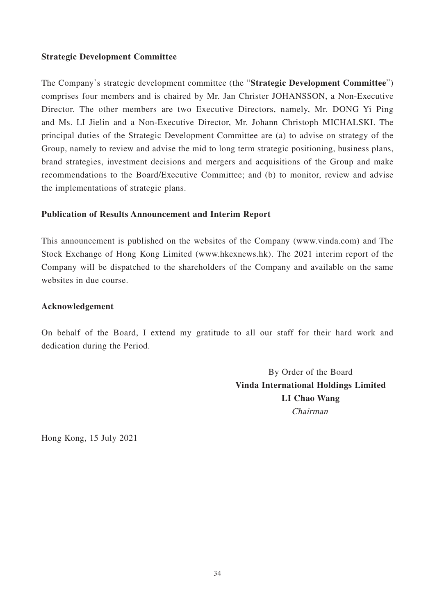# **Strategic Development Committee**

The Company's strategic development committee (the "**Strategic Development Committee**") comprises four members and is chaired by Mr. Jan Christer JOHANSSON, a Non-Executive Director. The other members are two Executive Directors, namely, Mr. DONG Yi Ping and Ms. LI Jielin and a Non-Executive Director, Mr. Johann Christoph MICHALSKI. The principal duties of the Strategic Development Committee are (a) to advise on strategy of the Group, namely to review and advise the mid to long term strategic positioning, business plans, brand strategies, investment decisions and mergers and acquisitions of the Group and make recommendations to the Board/Executive Committee; and (b) to monitor, review and advise the implementations of strategic plans.

# **Publication of Results Announcement and Interim Report**

This announcement is published on the websites of the Company (www.vinda.com) and The Stock Exchange of Hong Kong Limited (www.hkexnews.hk). The 2021 interim report of the Company will be dispatched to the shareholders of the Company and available on the same websites in due course.

# **Acknowledgement**

On behalf of the Board, I extend my gratitude to all our staff for their hard work and dedication during the Period.

> By Order of the Board **Vinda International Holdings Limited LI Chao Wang** Chairman

Hong Kong, 15 July 2021